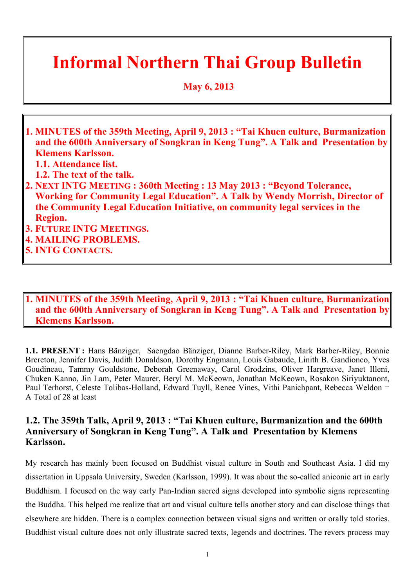# **Informal Northern Thai Group Bulletin**

 **May 6, 2013**

- **1. MINUTES of the 359th Meeting, April 9, 2013 : "Tai Khuen culture, Burmanization and the 600th Anniversary of Songkran in Keng Tung". A Talk and Presentation by Klemens Karlsson.**
	- **1.1. Attendance list.**
	- **1.2. The text of the talk.**
- **2. NEXT INTG MEETING : 360th Meeting : 13 May 2013 : "Beyond Tolerance, Working for Community Legal Education". A Talk by Wendy Morrish, Director of the Community Legal Education Initiative, on community legal services in the Region.**
- **3. FUTURE INTG MEETINGS.**
- **4. MAILING PROBLEMS.**
- **5. INTG CONTACTS.**

## **1. MINUTES of the 359th Meeting, April 9, 2013 : "Tai Khuen culture, Burmanization and the 600th Anniversary of Songkran in Keng Tung". A Talk and Presentation by Klemens Karlsson.**

**1.1. PRESENT :** Hans Bänziger, Saengdao Bänziger, Dianne Barber-Riley, Mark Barber-Riley, Bonnie Brereton, Jennifer Davis, Judith Donaldson, Dorothy Engmann, Louis Gabaude, Linith B. Gandionco, Yves Goudineau, Tammy Gouldstone, Deborah Greenaway, Carol Grodzins, Oliver Hargreave, Janet Illeni, Chuken Kanno, Jin Lam, Peter Maurer, Beryl M. McKeown, Jonathan McKeown, Rosakon Siriyuktanont, Paul Terhorst, Celeste Tolibas-Holland, Edward Tuyll, Renee Vines, Vithi Panichpant, Rebecca Weldon = A Total of 28 at least

## **1.2. The 359th Talk, April 9, 2013 : "Tai Khuen culture, Burmanization and the 600th Anniversary of Songkran in Keng Tung". A Talk and Presentation by Klemens Karlsson.**

My research has mainly been focused on Buddhist visual culture in South and Southeast Asia. I did my dissertation in Uppsala University, Sweden (Karlsson, 1999). It was about the so-called aniconic art in early Buddhism. I focused on the way early Pan-Indian sacred signs developed into symbolic signs representing the Buddha. This helped me realize that art and visual culture tells another story and can disclose things that elsewhere are hidden. There is a complex connection between visual signs and written or orally told stories. Buddhist visual culture does not only illustrate sacred texts, legends and doctrines. The revers process may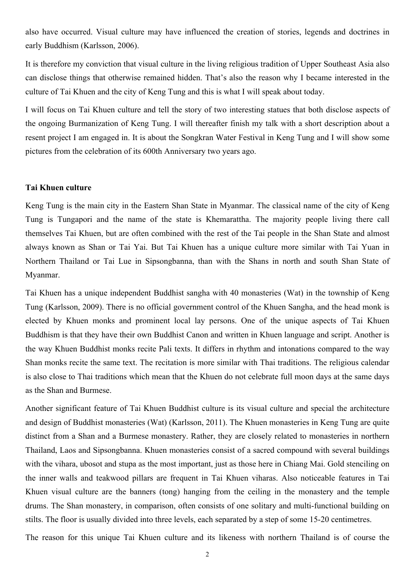also have occurred. Visual culture may have influenced the creation of stories, legends and doctrines in early Buddhism (Karlsson, 2006).

It is therefore my conviction that visual culture in the living religious tradition of Upper Southeast Asia also can disclose things that otherwise remained hidden. That's also the reason why I became interested in the culture of Tai Khuen and the city of Keng Tung and this is what I will speak about today.

I will focus on Tai Khuen culture and tell the story of two interesting statues that both disclose aspects of the ongoing Burmanization of Keng Tung. I will thereafter finish my talk with a short description about a resent project I am engaged in. It is about the Songkran Water Festival in Keng Tung and I will show some pictures from the celebration of its 600th Anniversary two years ago.

#### **Tai Khuen culture**

Keng Tung is the main city in the Eastern Shan State in Myanmar. The classical name of the city of Keng Tung is Tungapori and the name of the state is Khemarattha. The majority people living there call themselves Tai Khuen, but are often combined with the rest of the Tai people in the Shan State and almost always known as Shan or Tai Yai. But Tai Khuen has a unique culture more similar with Tai Yuan in Northern Thailand or Tai Lue in Sipsongbanna, than with the Shans in north and south Shan State of Myanmar.

Tai Khuen has a unique independent Buddhist sangha with 40 monasteries (Wat) in the township of Keng Tung (Karlsson, 2009). There is no official government control of the Khuen Sangha, and the head monk is elected by Khuen monks and prominent local lay persons. One of the unique aspects of Tai Khuen Buddhism is that they have their own Buddhist Canon and written in Khuen language and script. Another is the way Khuen Buddhist monks recite Pali texts. It differs in rhythm and intonations compared to the way Shan monks recite the same text. The recitation is more similar with Thai traditions. The religious calendar is also close to Thai traditions which mean that the Khuen do not celebrate full moon days at the same days as the Shan and Burmese.

Another significant feature of Tai Khuen Buddhist culture is its visual culture and special the architecture and design of Buddhist monasteries (Wat) (Karlsson, 2011). The Khuen monasteries in Keng Tung are quite distinct from a Shan and a Burmese monastery. Rather, they are closely related to monasteries in northern Thailand, Laos and Sipsongbanna. Khuen monasteries consist of a sacred compound with several buildings with the vihara, ubosot and stupa as the most important, just as those here in Chiang Mai. Gold stenciling on the inner walls and teakwood pillars are frequent in Tai Khuen viharas. Also noticeable features in Tai Khuen visual culture are the banners (tong) hanging from the ceiling in the monastery and the temple drums. The Shan monastery, in comparison, often consists of one solitary and multi-functional building on stilts. The floor is usually divided into three levels, each separated by a step of some 15-20 centimetres.

The reason for this unique Tai Khuen culture and its likeness with northern Thailand is of course the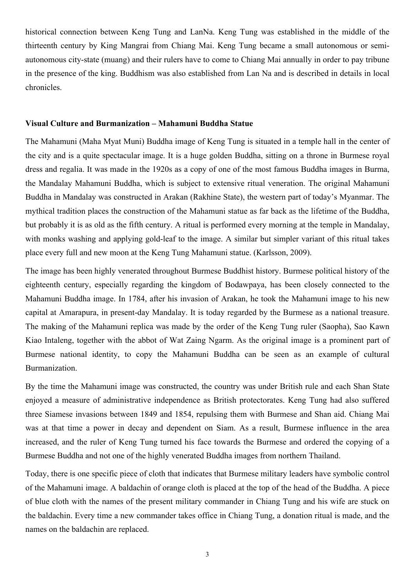historical connection between Keng Tung and LanNa. Keng Tung was established in the middle of the thirteenth century by King Mangrai from Chiang Mai. Keng Tung became a small autonomous or semiautonomous city-state (muang) and their rulers have to come to Chiang Mai annually in order to pay tribune in the presence of the king. Buddhism was also established from Lan Na and is described in details in local chronicles.

#### **Visual Culture and Burmanization – Mahamuni Buddha Statue**

The Mahamuni (Maha Myat Muni) Buddha image of Keng Tung is situated in a temple hall in the center of the city and is a quite spectacular image. It is a huge golden Buddha, sitting on a throne in Burmese royal dress and regalia. It was made in the 1920s as a copy of one of the most famous Buddha images in Burma, the Mandalay Mahamuni Buddha, which is subject to extensive ritual veneration. The original Mahamuni Buddha in Mandalay was constructed in Arakan (Rakhine State), the western part of today's Myanmar. The mythical tradition places the construction of the Mahamuni statue as far back as the lifetime of the Buddha, but probably it is as old as the fifth century. A ritual is performed every morning at the temple in Mandalay, with monks washing and applying gold-leaf to the image. A similar but simpler variant of this ritual takes place every full and new moon at the Keng Tung Mahamuni statue. (Karlsson, 2009).

The image has been highly venerated throughout Burmese Buddhist history. Burmese political history of the eighteenth century, especially regarding the kingdom of Bodawpaya, has been closely connected to the Mahamuni Buddha image. In 1784, after his invasion of Arakan, he took the Mahamuni image to his new capital at Amarapura, in present-day Mandalay. It is today regarded by the Burmese as a national treasure. The making of the Mahamuni replica was made by the order of the Keng Tung ruler (Saopha), Sao Kawn Kiao Intaleng, together with the abbot of Wat Zaing Ngarm. As the original image is a prominent part of Burmese national identity, to copy the Mahamuni Buddha can be seen as an example of cultural Burmanization.

By the time the Mahamuni image was constructed, the country was under British rule and each Shan State enjoyed a measure of administrative independence as British protectorates. Keng Tung had also suffered three Siamese invasions between 1849 and 1854, repulsing them with Burmese and Shan aid. Chiang Mai was at that time a power in decay and dependent on Siam. As a result, Burmese influence in the area increased, and the ruler of Keng Tung turned his face towards the Burmese and ordered the copying of a Burmese Buddha and not one of the highly venerated Buddha images from northern Thailand.

Today, there is one specific piece of cloth that indicates that Burmese military leaders have symbolic control of the Mahamuni image. A baldachin of orange cloth is placed at the top of the head of the Buddha. A piece of blue cloth with the names of the present military commander in Chiang Tung and his wife are stuck on the baldachin. Every time a new commander takes office in Chiang Tung, a donation ritual is made, and the names on the baldachin are replaced.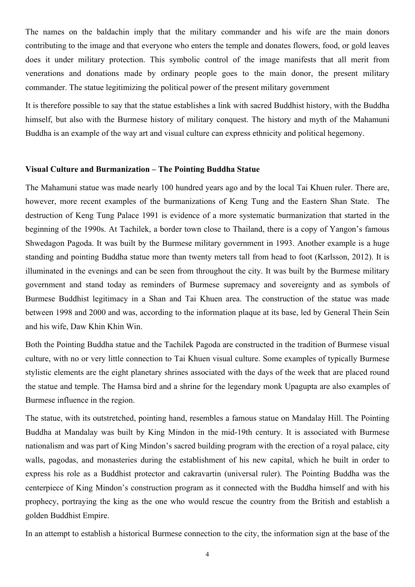The names on the baldachin imply that the military commander and his wife are the main donors contributing to the image and that everyone who enters the temple and donates flowers, food, or gold leaves does it under military protection. This symbolic control of the image manifests that all merit from venerations and donations made by ordinary people goes to the main donor, the present military commander. The statue legitimizing the political power of the present military government

It is therefore possible to say that the statue establishes a link with sacred Buddhist history, with the Buddha himself, but also with the Burmese history of military conquest. The history and myth of the Mahamuni Buddha is an example of the way art and visual culture can express ethnicity and political hegemony.

#### **Visual Culture and Burmanization – The Pointing Buddha Statue**

The Mahamuni statue was made nearly 100 hundred years ago and by the local Tai Khuen ruler. There are, however, more recent examples of the burmanizations of Keng Tung and the Eastern Shan State. The destruction of Keng Tung Palace 1991 is evidence of a more systematic burmanization that started in the beginning of the 1990s. At Tachilek, a border town close to Thailand, there is a copy of Yangon's famous Shwedagon Pagoda. It was built by the Burmese military government in 1993. Another example is a huge standing and pointing Buddha statue more than twenty meters tall from head to foot (Karlsson, 2012). It is illuminated in the evenings and can be seen from throughout the city. It was built by the Burmese military government and stand today as reminders of Burmese supremacy and sovereignty and as symbols of Burmese Buddhist legitimacy in a Shan and Tai Khuen area. The construction of the statue was made between 1998 and 2000 and was, according to the information plaque at its base, led by General Thein Sein and his wife, Daw Khin Khin Win.

Both the Pointing Buddha statue and the Tachilek Pagoda are constructed in the tradition of Burmese visual culture, with no or very little connection to Tai Khuen visual culture. Some examples of typically Burmese stylistic elements are the eight planetary shrines associated with the days of the week that are placed round the statue and temple. The Hamsa bird and a shrine for the legendary monk Upagupta are also examples of Burmese influence in the region.

The statue, with its outstretched, pointing hand, resembles a famous statue on Mandalay Hill. The Pointing Buddha at Mandalay was built by King Mindon in the mid-19th century. It is associated with Burmese nationalism and was part of King Mindon's sacred building program with the erection of a royal palace, city walls, pagodas, and monasteries during the establishment of his new capital, which he built in order to express his role as a Buddhist protector and cakravartin (universal ruler). The Pointing Buddha was the centerpiece of King Mindon's construction program as it connected with the Buddha himself and with his prophecy, portraying the king as the one who would rescue the country from the British and establish a golden Buddhist Empire.

In an attempt to establish a historical Burmese connection to the city, the information sign at the base of the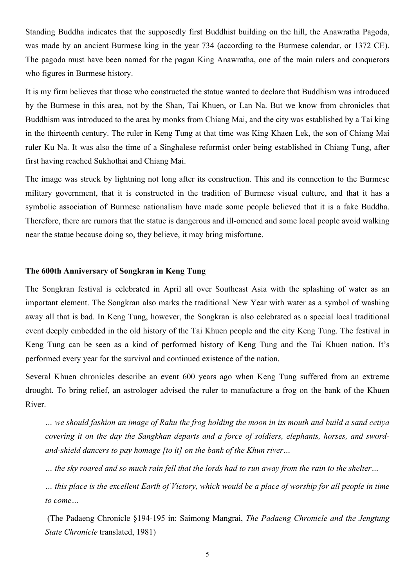Standing Buddha indicates that the supposedly first Buddhist building on the hill, the Anawratha Pagoda, was made by an ancient Burmese king in the year 734 (according to the Burmese calendar, or 1372 CE). The pagoda must have been named for the pagan King Anawratha, one of the main rulers and conquerors who figures in Burmese history.

It is my firm believes that those who constructed the statue wanted to declare that Buddhism was introduced by the Burmese in this area, not by the Shan, Tai Khuen, or Lan Na. But we know from chronicles that Buddhism was introduced to the area by monks from Chiang Mai, and the city was established by a Tai king in the thirteenth century. The ruler in Keng Tung at that time was King Khaen Lek, the son of Chiang Mai ruler Ku Na. It was also the time of a Singhalese reformist order being established in Chiang Tung, after first having reached Sukhothai and Chiang Mai.

The image was struck by lightning not long after its construction. This and its connection to the Burmese military government, that it is constructed in the tradition of Burmese visual culture, and that it has a symbolic association of Burmese nationalism have made some people believed that it is a fake Buddha. Therefore, there are rumors that the statue is dangerous and ill-omened and some local people avoid walking near the statue because doing so, they believe, it may bring misfortune.

#### **The 600th Anniversary of Songkran in Keng Tung**

The Songkran festival is celebrated in April all over Southeast Asia with the splashing of water as an important element. The Songkran also marks the traditional New Year with water as a symbol of washing away all that is bad. In Keng Tung, however, the Songkran is also celebrated as a special local traditional event deeply embedded in the old history of the Tai Khuen people and the city Keng Tung. The festival in Keng Tung can be seen as a kind of performed history of Keng Tung and the Tai Khuen nation. It's performed every year for the survival and continued existence of the nation.

Several Khuen chronicles describe an event 600 years ago when Keng Tung suffered from an extreme drought. To bring relief, an astrologer advised the ruler to manufacture a frog on the bank of the Khuen River.

*… we should fashion an image of Rahu the frog holding the moon in its mouth and build a sand cetiya covering it on the day the Sangkhan departs and a force of soldiers, elephants, horses, and swordand-shield dancers to pay homage [to it] on the bank of the Khun river…*

*… the sky roared and so much rain fell that the lords had to run away from the rain to the shelter…*

*… this place is the excellent Earth of Victory, which would be a place of worship for all people in time to come…*

 (The Padaeng Chronicle §194-195 in: Saimong Mangrai, *The Padaeng Chronicle and the Jengtung State Chronicle* translated, 1981)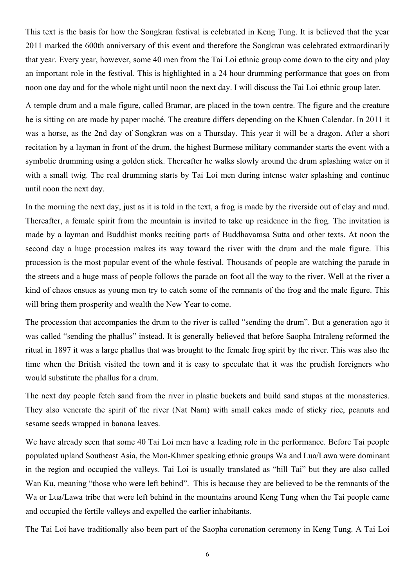This text is the basis for how the Songkran festival is celebrated in Keng Tung. It is believed that the year 2011 marked the 600th anniversary of this event and therefore the Songkran was celebrated extraordinarily that year. Every year, however, some 40 men from the Tai Loi ethnic group come down to the city and play an important role in the festival. This is highlighted in a 24 hour drumming performance that goes on from noon one day and for the whole night until noon the next day. I will discuss the Tai Loi ethnic group later.

A temple drum and a male figure, called Bramar, are placed in the town centre. The figure and the creature he is sitting on are made by paper maché. The creature differs depending on the Khuen Calendar. In 2011 it was a horse, as the 2nd day of Songkran was on a Thursday. This year it will be a dragon. After a short recitation by a layman in front of the drum, the highest Burmese military commander starts the event with a symbolic drumming using a golden stick. Thereafter he walks slowly around the drum splashing water on it with a small twig. The real drumming starts by Tai Loi men during intense water splashing and continue until noon the next day.

In the morning the next day, just as it is told in the text, a frog is made by the riverside out of clay and mud. Thereafter, a female spirit from the mountain is invited to take up residence in the frog. The invitation is made by a layman and Buddhist monks reciting parts of Buddhavamsa Sutta and other texts. At noon the second day a huge procession makes its way toward the river with the drum and the male figure. This procession is the most popular event of the whole festival. Thousands of people are watching the parade in the streets and a huge mass of people follows the parade on foot all the way to the river. Well at the river a kind of chaos ensues as young men try to catch some of the remnants of the frog and the male figure. This will bring them prosperity and wealth the New Year to come.

The procession that accompanies the drum to the river is called "sending the drum". But a generation ago it was called "sending the phallus" instead. It is generally believed that before Saopha Intraleng reformed the ritual in 1897 it was a large phallus that was brought to the female frog spirit by the river. This was also the time when the British visited the town and it is easy to speculate that it was the prudish foreigners who would substitute the phallus for a drum.

The next day people fetch sand from the river in plastic buckets and build sand stupas at the monasteries. They also venerate the spirit of the river (Nat Nam) with small cakes made of sticky rice, peanuts and sesame seeds wrapped in banana leaves.

We have already seen that some 40 Tai Loi men have a leading role in the performance. Before Tai people populated upland Southeast Asia, the Mon-Khmer speaking ethnic groups Wa and Lua/Lawa were dominant in the region and occupied the valleys. Tai Loi is usually translated as "hill Tai" but they are also called Wan Ku, meaning "those who were left behind". This is because they are believed to be the remnants of the Wa or Lua/Lawa tribe that were left behind in the mountains around Keng Tung when the Tai people came and occupied the fertile valleys and expelled the earlier inhabitants.

The Tai Loi have traditionally also been part of the Saopha coronation ceremony in Keng Tung. A Tai Loi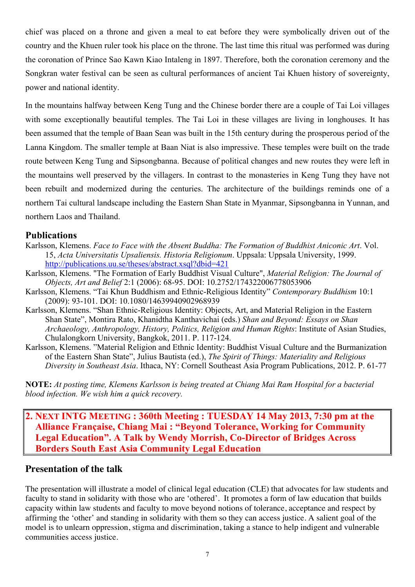chief was placed on a throne and given a meal to eat before they were symbolically driven out of the country and the Khuen ruler took his place on the throne. The last time this ritual was performed was during the coronation of Prince Sao Kawn Kiao Intaleng in 1897. Therefore, both the coronation ceremony and the Songkran water festival can be seen as cultural performances of ancient Tai Khuen history of sovereignty, power and national identity.

In the mountains halfway between Keng Tung and the Chinese border there are a couple of Tai Loi villages with some exceptionally beautiful temples. The Tai Loi in these villages are living in longhouses. It has been assumed that the temple of Baan Sean was built in the 15th century during the prosperous period of the Lanna Kingdom. The smaller temple at Baan Niat is also impressive. These temples were built on the trade route between Keng Tung and Sipsongbanna. Because of political changes and new routes they were left in the mountains well preserved by the villagers. In contrast to the monasteries in Keng Tung they have not been rebuilt and modernized during the centuries. The architecture of the buildings reminds one of a northern Tai cultural landscape including the Eastern Shan State in Myanmar, Sipsongbanna in Yunnan, and northern Laos and Thailand.

### **Publications**

- Karlsson, Klemens. *Face to Face with the Absent Buddha: The Formation of Buddhist Aniconic Art*. Vol. 15, *Acta Universitatis Upsaliensis. Historia Religionum*. Uppsala: Uppsala University, 1999. http://publications.uu.se/theses/abstract.xsql?dbid=421
- Karlsson, Klemens. "The Formation of Early Buddhist Visual Culture", *Material Religion: The Journal of Objects, Art and Belief* 2:1 (2006): 68-95. DOI: 10.2752/174322006778053906
- Karlsson, Klemens. "Tai Khun Buddhism and Ethnic-Religious Identity" *Contemporary Buddhism* 10:1 (2009): 93-101. DOI: 10.1080/14639940902968939
- Karlsson, Klemens. "Shan Ethnic-Religious Identity: Objects, Art, and Material Religion in the Eastern Shan State", Montira Rato, Khanidtha Kanthavichai (eds.) *Shan and Beyond: Essays on Shan Archaeology, Anthropology, History, Politics, Religion and Human Rights*: Institute of Asian Studies, Chulalongkorn University, Bangkok, 2011. P. 117-124.
- Karlsson, Klemens. "Material Religion and Ethnic Identity: Buddhist Visual Culture and the Burmanization of the Eastern Shan State", Julius Bautista (ed.), *The Spirit of Things: Materiality and Religious Diversity in Southeast Asia*. Ithaca, NY: Cornell Southeast Asia Program Publications, 2012. P. 61-77

**NOTE:** *At posting time, Klemens Karlsson is being treated at Chiang Mai Ram Hospital for a bacterial blood infection. We wish him a quick recovery.*

**2. NEXT INTG MEETING : 360th Meeting : TUESDAY 14 May 2013, 7:30 pm at the Alliance Française, Chiang Mai : "Beyond Tolerance, Working for Community Legal Education". A Talk by Wendy Morrish, Co-Director of Bridges Across Borders South East Asia Community Legal Education**

### **Presentation of the talk**

The presentation will illustrate a model of clinical legal education (CLE) that advocates for law students and faculty to stand in solidarity with those who are 'othered'. It promotes a form of law education that builds capacity within law students and faculty to move beyond notions of tolerance, acceptance and respect by affirming the 'other' and standing in solidarity with them so they can access justice. A salient goal of the model is to unlearn oppression, stigma and discrimination, taking a stance to help indigent and vulnerable communities access justice.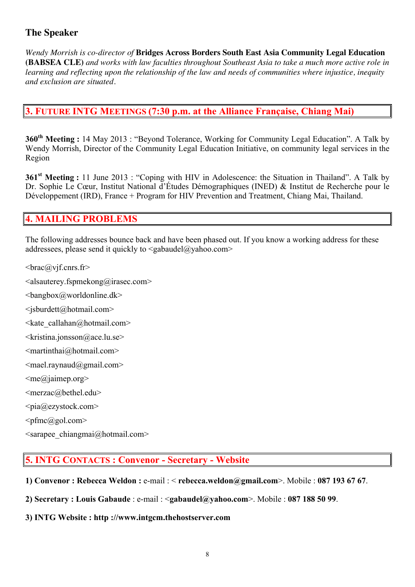## **The Speaker**

*Wendy Morrish is co-director of* **Bridges Across Borders South East Asia Community Legal Education (BABSEA CLE)** *and works with law faculties throughout Southeast Asia to take a much more active role in learning and reflecting upon the relationship of the law and needs of communities where injustice, inequity and exclusion are situated.*

## **3. FUTURE INTG MEETINGS (7:30 p.m. at the Alliance Française, Chiang Mai)**

**360<sup>th</sup> Meeting** : 14 May 2013 : "Beyond Tolerance, Working for Community Legal Education". A Talk by Wendy Morrish, Director of the Community Legal Education Initiative, on community legal services in the Region

**361<sup>st</sup> Meeting :** 11 June 2013 : "Coping with HIV in Adolescence: the Situation in Thailand". A Talk by Dr. Sophie Le Cœur, Institut National d'Études Démographiques (INED) & Institut de Recherche pour le Développement (IRD), France + Program for HIV Prevention and Treatment, Chiang Mai, Thailand.

# **4. MAILING PROBLEMS**

The following addresses bounce back and have been phased out. If you know a working address for these addressees, please send it quickly to  $\leq$ gabaudel@yahoo.com>

 $\langle \text{brace@vif.cnrs.fr} \rangle$ 

 $\leq$ alsauterey.fspmekong@irasec.com>

 $\langle$ bangbox@worldonline.dk>

<jsburdett@hotmail.com>

 $\leq$ kate callahan@hotmail.com>

 $\leq$ kristina.jonsson@ace.lu.se>

 $\leq$ martinthai $@$ hotmail.com>

<mael.raynaud@gmail.com>

 $\leq$ me@jaimep.org>

<merzac@bethel.edu>

 $\langle$ pia@ezystock.com>

 $\epsilon$ pfmc $(a)$ gol.com>

 $\leq$ sarapee chiangmai $\omega$ hotmail.com>

### **5. INTG CONTACTS : Convenor - Secretary - Website**

- **1) Convenor : Rebecca Weldon :** e-mail : < **rebecca.weldon@gmail.com**>. Mobile : **087 193 67 67**.
- **2) Secretary : Louis Gabaude** : e-mail : <**gabaudel@yahoo.com**>. Mobile : **087 188 50 99**.
- **3) INTG Website : http ://www.intgcm.thehostserver.com**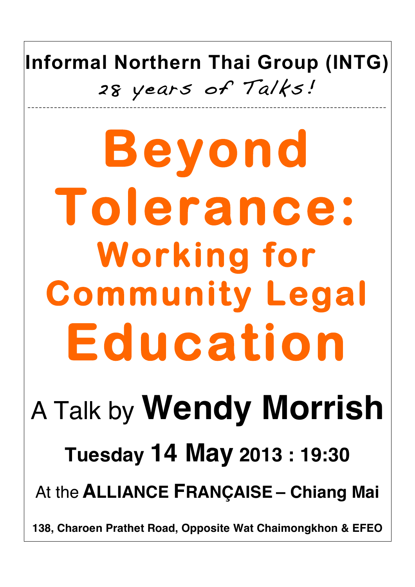**Informal Northern Thai Group (INTG)** 28 years of Talks! \_\_\_\_\_\_\_\_\_\_\_\_\_\_\_\_\_\_\_\_\_\_\_\_\_\_\_ \_\_\_\_\_\_\_\_\_\_\_\_\_\_\_\_\_\_\_\_\_\_\_\_\_\_\_\_\_\_\_\_\_\_\_\_\_\_\_\_\_\_\_\_\_\_\_ \_\_\_\_\_\_\_\_\_\_\_\_\_\_\_\_\_\_\_\_\_

**Beyond Tolerance: Working for Community Legal Education**  A Talk by **Wendy Morrish Tuesday 14 May 2013 : 19:30** At the **ALLIANCE FRANÇAISE – Chiang Mai**

**138, Charoen Prathet Road, Opposite Wat Chaimongkhon & EFEO**